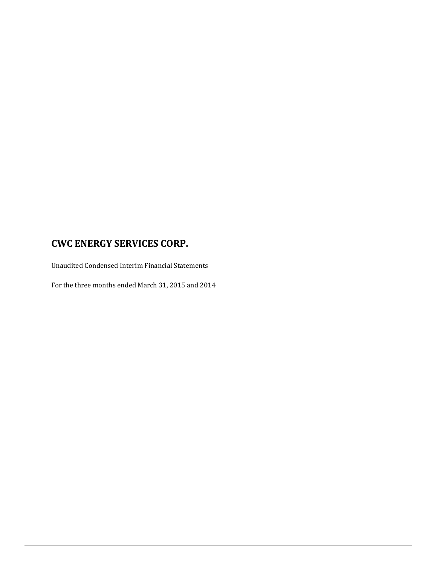Unaudited Condensed Interim Financial Statements

For the three months ended March 31, 2015 and 2014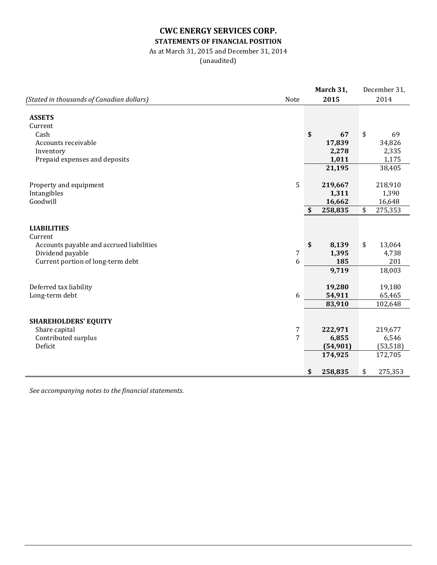## **CWC ENERGY SERVICES CORP. STATEMENTS OF FINANCIAL POSITION**

## As at March 31, 2015 and December 31, 2014

(unaudited)

|                                           |      | March 31,     | December 31,  |
|-------------------------------------------|------|---------------|---------------|
| (Stated in thousands of Canadian dollars) | Note | 2015          | 2014          |
| <b>ASSETS</b>                             |      |               |               |
| Current                                   |      |               |               |
| Cash                                      |      | \$<br>67      | \$<br>69      |
| Accounts receivable                       |      | 17,839        | 34,826        |
| Inventory                                 |      | 2,278         | 2,335         |
| Prepaid expenses and deposits             |      | 1,011         | 1,175         |
|                                           |      | 21,195        | 38,405        |
| Property and equipment                    | 5    | 219,667       | 218,910       |
| Intangibles                               |      | 1,311         | 1,390         |
| Goodwill                                  |      | 16,662        | 16,648        |
|                                           |      | \$<br>258,835 | \$<br>275,353 |
|                                           |      |               |               |
| <b>LIABILITIES</b>                        |      |               |               |
| Current                                   |      |               |               |
| Accounts payable and accrued liabilities  |      | \$<br>8,139   | \$<br>13,064  |
| Dividend payable                          | 7    | 1,395         | 4,738         |
| Current portion of long-term debt         | 6    | 185           | 201           |
|                                           |      | 9,719         | 18,003        |
| Deferred tax liability                    |      | 19,280        | 19,180        |
| Long-term debt                            | 6    | 54,911        | 65,465        |
|                                           |      | 83,910        | 102,648       |
|                                           |      |               |               |
| <b>SHAREHOLDERS' EQUITY</b>               |      |               |               |
| Share capital                             | 7    | 222,971       | 219,677       |
| Contributed surplus                       | 7    | 6,855         | 6,546         |
| Deficit                                   |      | (54, 901)     | (53, 518)     |
|                                           |      | 174,925       | 172,705       |
|                                           |      | \$<br>258,835 | \$<br>275,353 |

*See accompanying notes to the financial statements.*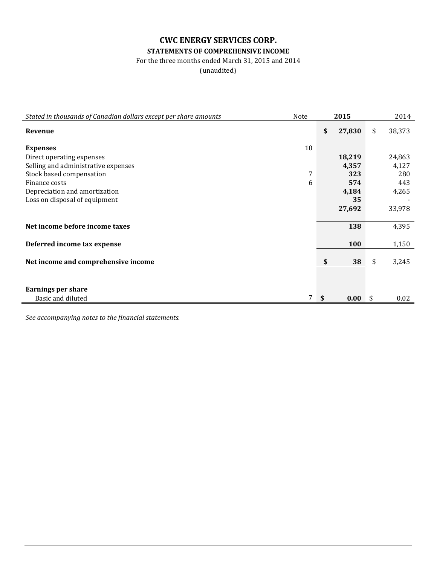## **STATEMENTS OF COMPREHENSIVE INCOME**

For the three months ended March 31, 2015 and 2014

(unaudited)

| Stated in thousands of Canadian dollars except per share amounts | Note           | 2015                      |        |    | 2014   |
|------------------------------------------------------------------|----------------|---------------------------|--------|----|--------|
| Revenue                                                          |                | $\boldsymbol{\mathsf{s}}$ | 27,830 | \$ | 38,373 |
| <b>Expenses</b>                                                  | 10             |                           |        |    |        |
| Direct operating expenses                                        |                |                           | 18,219 |    | 24,863 |
| Selling and administrative expenses                              |                |                           | 4,357  |    | 4,127  |
| Stock based compensation                                         | 7              |                           | 323    |    | 280    |
| Finance costs                                                    | 6              |                           | 574    |    | 443    |
| Depreciation and amortization                                    |                |                           | 4,184  |    | 4,265  |
| Loss on disposal of equipment                                    |                |                           | 35     |    |        |
|                                                                  |                |                           | 27,692 |    | 33,978 |
|                                                                  |                |                           |        |    |        |
| Net income before income taxes                                   |                |                           | 138    |    | 4,395  |
| Deferred income tax expense                                      |                |                           | 100    |    | 1,150  |
|                                                                  |                |                           |        |    |        |
| Net income and comprehensive income                              |                | \$                        | 38     | \$ | 3,245  |
|                                                                  |                |                           |        |    |        |
|                                                                  |                |                           |        |    |        |
| <b>Earnings per share</b>                                        |                |                           |        |    |        |
| Basic and diluted                                                | 7 <sup>1</sup> | -\$                       | 0.00   | S  | 0.02   |

*See accompanying notes to the financial statements.*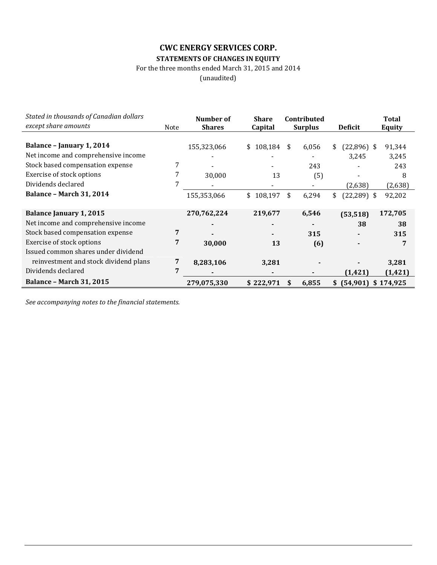## **CWC ENERGY SERVICES CORP. STATEMENTS OF CHANGES IN EQUITY**

## For the three months ended March 31, 2015 and 2014

(unaudited)

| Stated in thousands of Canadian dollars<br>except share amounts | Note | Number of<br><b>Shares</b> | <b>Share</b><br>Capital |     | Contributed<br><b>Surplus</b> | <b>Deficit</b>       | <b>Total</b><br><b>Equity</b> |
|-----------------------------------------------------------------|------|----------------------------|-------------------------|-----|-------------------------------|----------------------|-------------------------------|
|                                                                 |      |                            |                         |     |                               |                      |                               |
| Balance - January 1, 2014                                       |      | 155,323,066                | 108,184<br>\$           | \$  | 6,056                         | $(22,896)$ \$<br>\$  | 91,344                        |
| Net income and comprehensive income                             |      |                            |                         |     |                               | 3,245                | 3,245                         |
| Stock based compensation expense                                |      |                            |                         |     | 243                           |                      | 243                           |
| Exercise of stock options                                       |      | 30,000                     | 13                      |     | (5)                           |                      | 8                             |
| Dividends declared                                              |      |                            |                         |     |                               | (2,638)              | (2,638)                       |
| <b>Balance - March 31, 2014</b>                                 |      | 155,353,066                | 108,197<br>\$           | \$  | 6,294                         | $(22, 289)$ \$<br>\$ | 92,202                        |
|                                                                 |      |                            |                         |     |                               |                      |                               |
| <b>Balance January 1, 2015</b>                                  |      | 270,762,224                | 219,677                 |     | 6,546                         | (53, 518)            | 172,705                       |
| Net income and comprehensive income                             |      |                            |                         |     |                               | 38                   | 38                            |
| Stock based compensation expense                                | 7    |                            |                         |     | 315                           |                      | 315                           |
| Exercise of stock options                                       | 7    | 30,000                     | 13                      |     | (6)                           |                      | 7                             |
| Issued common shares under dividend                             |      |                            |                         |     |                               |                      |                               |
| reinvestment and stock dividend plans                           | 7    | 8,283,106                  | 3,281                   |     |                               |                      | 3,281                         |
| Dividends declared                                              | 7    |                            |                         |     |                               | (1, 421)             | (1, 421)                      |
| <b>Balance - March 31, 2015</b>                                 |      | 279,075,330                | \$222,971               | \$. | 6,855                         | (54,901)<br>\$       | \$174,925                     |

*See accompanying notes to the financial statements.*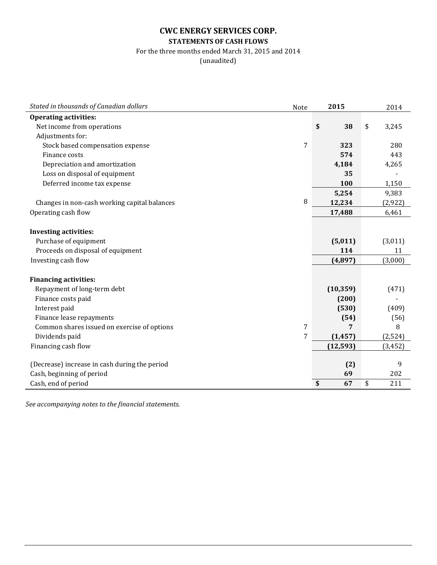## **CWC ENERGY SERVICES CORP. STATEMENTS OF CASH FLOWS**

#### For the three months ended March 31, 2015 and 2014

(unaudited)

| Stated in thousands of Canadian dollars       | Note | 2015      | 2014        |
|-----------------------------------------------|------|-----------|-------------|
| <b>Operating activities:</b>                  |      |           |             |
| Net income from operations                    |      | \$<br>38  | \$<br>3,245 |
| Adjustments for:                              |      |           |             |
| Stock based compensation expense              | 7    | 323       | 280         |
| Finance costs                                 |      | 574       | 443         |
| Depreciation and amortization                 |      | 4,184     | 4,265       |
| Loss on disposal of equipment                 |      | 35        |             |
| Deferred income tax expense                   |      | 100       | 1,150       |
|                                               |      | 5,254     | 9,383       |
| Changes in non-cash working capital balances  | 8    | 12,234    | (2, 922)    |
| Operating cash flow                           |      | 17,488    | 6,461       |
|                                               |      |           |             |
| <b>Investing activities:</b>                  |      |           |             |
| Purchase of equipment                         |      | (5,011)   | (3,011)     |
| Proceeds on disposal of equipment             |      | 114       | 11          |
| Investing cash flow                           |      | (4,897)   | (3,000)     |
|                                               |      |           |             |
| <b>Financing activities:</b>                  |      |           |             |
| Repayment of long-term debt                   |      | (10, 359) | (471)       |
| Finance costs paid                            |      | (200)     |             |
| Interest paid                                 |      | (530)     | (409)       |
| Finance lease repayments                      |      | (54)      | (56)        |
| Common shares issued on exercise of options   | 7    | 7         | 8           |
| Dividends paid                                | 7    | (1, 457)  | (2, 524)    |
| Financing cash flow                           |      | (12, 593) | (3, 452)    |
|                                               |      |           |             |
| (Decrease) increase in cash during the period |      | (2)       | 9           |
| Cash, beginning of period                     |      | 69        | 202         |
| Cash, end of period                           |      | \$<br>67  | \$<br>211   |

*See accompanying notes to the financial statements*.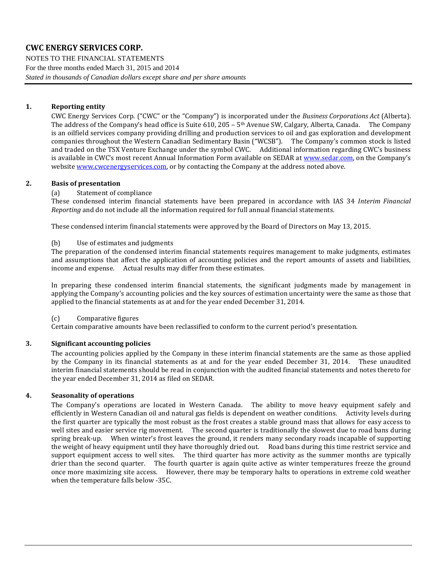NOTES TO THE FINANCIAL STATEMENTS For the three months ended March 31, 2015 and 2014 *Stated in thousands of Canadian dollars except share and per share amounts*

#### **1. Reporting entity**

CWC Energy Services Corp. ("CWC" or the "Company") is incorporated under the *Business Corporations Act* (Alberta). The address of the Company's head office is Suite 610, 205 –  $5<sup>th</sup>$  Avenue SW, Calgary, Alberta, Canada. The Company is an oilfield services company providing drilling and production services to oil and gas exploration and development companies throughout the Western Canadian Sedimentary Basin ("WCSB"). The Company's common stock is listed and traded on the TSX Venture Exchange under the symbol CWC. Additional information regarding CWC's business is available in CWC's most recent Annual Information Form available on SEDAR at [www.sedar.com,](http://www.sedar.com/) on the Company's websit[e www.cwcenergyservices.com,](http://www.cwcenergyservices.com/) or by contacting the Company at the address noted above.

#### **2. Basis of presentation**

#### (a) Statement of compliance

These condensed interim financial statements have been prepared in accordance with IAS 34 *Interim Financial Reporting* and do not include all the information required for full annual financial statements.

These condensed interim financial statements were approved by the Board of Directors on May 13, 2015.

#### (b) Use of estimates and judgments

The preparation of the condensed interim financial statements requires management to make judgments, estimates and assumptions that affect the application of accounting policies and the report amounts of assets and liabilities, income and expense. Actual results may differ from these estimates.

In preparing these condensed interim financial statements, the significant judgments made by management in applying the Company's accounting policies and the key sources of estimation uncertainty were the same as those that applied to the financial statements as at and for the year ended December 31, 2014.

(c) Comparative figures

Certain comparative amounts have been reclassified to conform to the current period's presentation.

#### **3. Significant accounting policies**

The accounting policies applied by the Company in these interim financial statements are the same as those applied by the Company in its financial statements as at and for the year ended December 31, 2014. These unaudited interim financial statements should be read in conjunction with the audited financial statements and notes thereto for the year ended December 31, 2014 as filed on SEDAR.

#### **4. Seasonality of operations**

The Company's operations are located in Western Canada. The ability to move heavy equipment safely and efficiently in Western Canadian oil and natural gas fields is dependent on weather conditions. Activity levels during the first quarter are typically the most robust as the frost creates a stable ground mass that allows for easy access to well sites and easier service rig movement. The second quarter is traditionally the slowest due to road bans during spring break-up. When winter's frost leaves the ground, it renders many secondary roads incapable of supporting the weight of heavy equipment until they have thoroughly dried out. Road bans during this time restrict service and support equipment access to well sites. The third quarter has more activity as the summer months are typically drier than the second quarter. The fourth quarter is again quite active as winter temperatures freeze the ground once more maximizing site access. However, there may be temporary halts to operations in extreme cold weather when the temperature falls below -35C.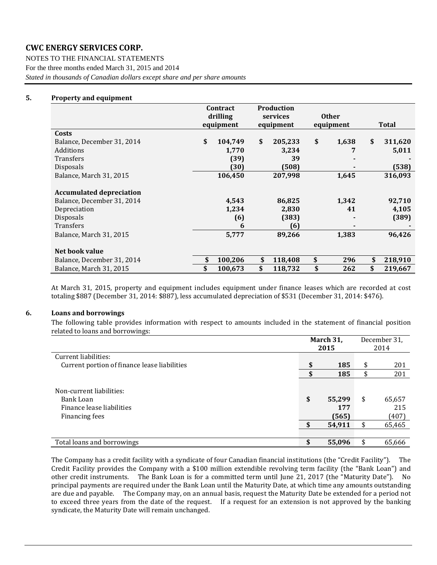NOTES TO THE FINANCIAL STATEMENTS For the three months ended March 31, 2015 and 2014 *Stated in thousands of Canadian dollars except share and per share amounts*

#### <span id="page-6-0"></span>**5. Property and equipment**

|                                 | <b>Production</b><br><b>Contract</b><br>drilling<br>services<br>equipment<br>equipment |         | <b>Other</b><br>equipment |    | <b>Total</b> |               |
|---------------------------------|----------------------------------------------------------------------------------------|---------|---------------------------|----|--------------|---------------|
| Costs                           |                                                                                        |         |                           |    |              |               |
| Balance, December 31, 2014      | \$                                                                                     | 104,749 | \$<br>205,233             | \$ | 1,638        | \$<br>311,620 |
| Additions                       |                                                                                        | 1,770   | 3,234                     |    | 7            | 5,011         |
| <b>Transfers</b>                |                                                                                        | (39)    | 39                        |    |              |               |
| Disposals                       |                                                                                        | (30)    | (508)                     |    |              | (538)         |
| Balance, March 31, 2015         |                                                                                        | 106,450 | 207,998                   |    | 1,645        | 316,093       |
| <b>Accumulated depreciation</b> |                                                                                        |         |                           |    |              |               |
| Balance, December 31, 2014      |                                                                                        | 4,543   | 86,825                    |    | 1,342        | 92,710        |
| Depreciation                    |                                                                                        | 1,234   | 2,830                     |    | 41           | 4,105         |
| Disposals                       |                                                                                        | (6)     | (383)                     |    |              | (389)         |
| <b>Transfers</b>                |                                                                                        | 6       | (6)                       |    |              |               |
| Balance, March 31, 2015         |                                                                                        | 5,777   | 89,266                    |    | 1,383        | 96,426        |
| Net book value                  |                                                                                        |         |                           |    |              |               |
| Balance, December 31, 2014      |                                                                                        | 100,206 | \$<br>118,408             | \$ | 296          | \$<br>218,910 |
| Balance, March 31, 2015         | \$                                                                                     | 100,673 | \$<br>118,732             | \$ | 262          | \$<br>219,667 |

At March 31, 2015, property and equipment includes equipment under finance leases which are recorded at cost totaling \$887 (December 31, 2014: \$887), less accumulated depreciation of \$531 (December 31, 2014: \$476).

#### <span id="page-6-1"></span>**6. Loans and borrowings**

The following table provides information with respect to amounts included in the statement of financial position related to loans and borrowings:

|                                              | March 31, |        | December 31, |        |
|----------------------------------------------|-----------|--------|--------------|--------|
|                                              |           | 2015   | 2014         |        |
| Current liabilities:                         |           |        |              |        |
| Current portion of finance lease liabilities | \$        | 185    | \$           | 201    |
|                                              | \$        | 185    | \$           | 201    |
|                                              |           |        |              |        |
| Non-current liabilities:                     |           |        |              |        |
| Bank Loan                                    | \$        | 55,299 | \$           | 65,657 |
| Finance lease liabilities                    |           | 177    |              | 215    |
| Financing fees                               |           | (565)  |              | (407)  |
|                                              |           | 54,911 |              | 65,465 |
|                                              |           |        |              |        |
| Total loans and borrowings                   |           | 55,096 |              | 65,666 |

The Company has a credit facility with a syndicate of four Canadian financial institutions (the "Credit Facility"). The Credit Facility provides the Company with a \$100 million extendible revolving term facility (the "Bank Loan") and other credit instruments. The Bank Loan is for a committed term until June 21, 2017 (the "Maturity Date"). No principal payments are required under the Bank Loan until the Maturity Date, at which time any amounts outstanding are due and payable. The Company may, on an annual basis, request the Maturity Date be extended for a period not to exceed three years from the date of the request. If a request for an extension is not approved by the banking syndicate, the Maturity Date will remain unchanged.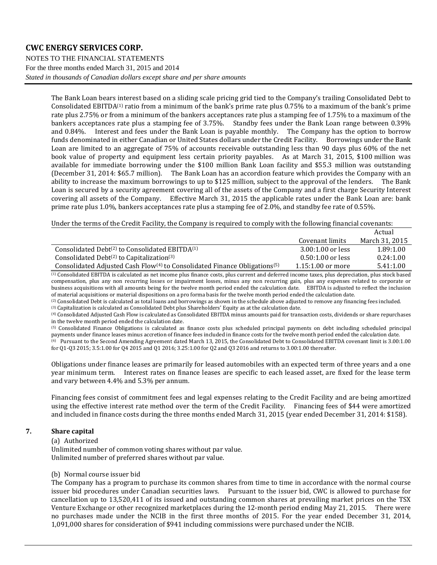### **CWC ENERGY SERVICES CORP.** NOTES TO THE FINANCIAL STATEMENTS For the three months ended March 31, 2015 and 2014 *Stated in thousands of Canadian dollars except share and per share amounts*

The Bank Loan bears interest based on a sliding scale pricing grid tied to the Company's trailing Consolidated Debt to Consolidated EBITDA(1) ratio from a minimum of the bank's prime rate plus 0.75% to a maximum of the bank's prime rate plus 2.75% or from a minimum of the bankers acceptances rate plus a stamping fee of 1.75% to a maximum of the bankers acceptances rate plus a stamping fee of 3.75%. Standby fees under the Bank Loan range between 0.39% and 0.84%. Interest and fees under the Bank Loan is payable monthly. The Company has the option to borrow funds denominated in either Canadian or United States dollars under the Credit Facility. Borrowings under the Bank Loan are limited to an aggregate of 75% of accounts receivable outstanding less than 90 days plus 60% of the net book value of property and equipment less certain priority payables. As at March 31, 2015, \$100 million was available for immediate borrowing under the \$100 million Bank Loan facility and \$55.3 million was outstanding (December 31, 2014: \$65.7 million). The Bank Loan has an accordion feature which provides the Company with an ability to increase the maximum borrowings to up to \$125 million, subject to the approval of the lenders. The Bank Loan is secured by a security agreement covering all of the assets of the Company and a first charge Security Interest covering all assets of the Company. Effective March 31, 2015 the applicable rates under the Bank Loan are: bank prime rate plus 1.0%, bankers acceptances rate plus a stamping fee of 2.0%, and standby fee rate of 0.55%.

Under the terms of the Credit Facility, the Company is required to comply with the following financial covenants:

|                                                                                            |                     | Actual         |
|--------------------------------------------------------------------------------------------|---------------------|----------------|
|                                                                                            | Covenant limits     | March 31, 2015 |
| Consolidated Debt <sup>(2)</sup> to Consolidated EBITD $A^{(1)}$                           | $3.00:1.00$ or less | 1.89:1.00      |
| Consolidated Debt <sup>(2)</sup> to Capitalization <sup>(3)</sup>                          | $0.50:1.00$ or less | 0.24:1.00      |
| Consolidated Adjusted Cash $Flow^{(4)}$ to Consolidated Finance Obligations <sup>(5)</sup> | $1.15:1.00$ or more | 5.41:1.00      |

(1) Consolidated EBITDA is calculated as net income plus finance costs, plus current and deferred income taxes, plus depreciation, plus stock based compensation, plus any non recurring losses or impairment losses, minus any non recurring gain, plus any expenses related to corporate or business acquisitions with all amounts being for the twelve month period ended the calculation date. EBITDA is adjusted to reflect the inclusion of material acquisitions or material dispositions on a pro forma basis for the twelve month period ended the calculation date.

(2) Consolidated Debt is calculated as total loans and borrowings as shown in the schedule above adjusted to remove any financing fees included. (3) Capitalization is calculated as Consolidated Debt plus Shareholders' Equity as at the calculation date.

(4) Consolidated Adjusted Cash Flow is calculated as Consolidated EBITDA minus amounts paid for transaction costs, dividends or share repurchases in the twelve month period ended the calculation date.

(5) Consolidated Finance Obligations is calculated as finance costs plus scheduled principal payments on debt including scheduled principal payments under finance leases minus accretion of finance fees included in finance costs for the twelve month period ended the calculation date.  $^{(6)}$  Pursuant to the Second Amending Agreement dated March 13, 2015, the Consolidated Debt to Consolidated EBITDA covenant limit is 3.00:1.00 for Q1-Q3 2015; 3.5:1.00 for Q4 2015 and Q1 2016; 3.25:1.00 for Q2 and Q3 2016 and returns to 3.00:1.00 thereafter.

Obligations under finance leases are primarily for leased automobiles with an expected term of three years and a one year minimum term. Interest rates on finance leases are specific to each leased asset, are fixed for the lease term and vary between 4.4% and 5.3% per annum.

Financing fees consist of commitment fees and legal expenses relating to the Credit Facility and are being amortized using the effective interest rate method over the term of the Credit Facility. Financing fees of \$44 were amortized and included in finance costs during the three months ended March 31, 2015 (year ended December 31, 2014: \$158).

#### <span id="page-7-0"></span>**7. Share capital**

(a) Authorized

Unlimited number of common voting shares without par value. Unlimited number of preferred shares without par value.

#### (b) Normal course issuer bid

The Company has a program to purchase its common shares from time to time in accordance with the normal course issuer bid procedures under Canadian securities laws. Pursuant to the issuer bid, CWC is allowed to purchase for cancellation up to 13,520,411 of its issued and outstanding common shares at prevailing market prices on the TSX Venture Exchange or other recognized marketplaces during the 12-month period ending May 21, 2015. There were no purchases made under the NCIB in the first three months of 2015. For the year ended December 31, 2014, 1,091,000 shares for consideration of \$941 including commissions were purchased under the NCIB.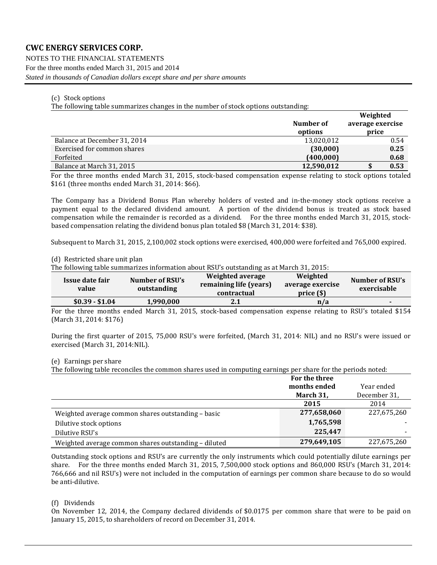NOTES TO THE FINANCIAL STATEMENTS For the three months ended March 31, 2015 and 2014 *Stated in thousands of Canadian dollars except share and per share amounts*

#### (c) Stock options

The following table summarizes changes in the number of stock options outstanding:

|                              |            | Weighted         |
|------------------------------|------------|------------------|
|                              | Number of  | average exercise |
|                              | options    | price            |
| Balance at December 31, 2014 | 13,020,012 | 0.54             |
| Exercised for common shares  | (30,000)   | 0.25             |
| Forfeited                    | (400,000)  | 0.68             |
| Balance at March 31, 2015    | 12,590,012 | 0.53             |

For the three months ended March 31, 2015, stock-based compensation expense relating to stock options totaled \$161 (three months ended March 31, 2014: \$66).

The Company has a Dividend Bonus Plan whereby holders of vested and in-the-money stock options receive a payment equal to the declared dividend amount. A portion of the dividend bonus is treated as stock based compensation while the remainder is recorded as a dividend. For the three months ended March 31, 2015, stockbased compensation relating the dividend bonus plan totaled \$8 (March 31, 2014: \$38).

Subsequent to March 31, 2015, 2,100,002 stock options were exercised, 400,000 were forfeited and 765,000 expired.

#### (d) Restricted share unit plan

The following table summarizes information about RSU's outstanding as at March 31, 2015:

| Issue date fair<br>value | Number of RSU's<br>outstanding | Weighted average<br>remaining life (years)<br>contractual | Weighted<br>average exercise<br>price( <sub>\$</sub> ) | Number of RSU's<br>exercisable |
|--------------------------|--------------------------------|-----------------------------------------------------------|--------------------------------------------------------|--------------------------------|
| $$0.39 - $1.04$$         | 1.990.000                      | 2.1                                                       | n/a                                                    | $\overline{\phantom{a}}$       |

For the three months ended March 31, 2015, stock-based compensation expense relating to RSU's totaled \$154 (March 31, 2014: \$176)

During the first quarter of 2015, 75,000 RSU's were forfeited, (March 31, 2014: NIL) and no RSU's were issued or exercised (March 31, 2014:NIL).

#### (e) Earnings per share

The following table reconciles the common shares used in computing earnings per share for the periods noted:

|                                                      | For the three |              |
|------------------------------------------------------|---------------|--------------|
|                                                      | months ended  | Year ended   |
|                                                      | March 31,     | December 31, |
|                                                      | 2015          | 2014         |
| Weighted average common shares outstanding - basic   | 277,658,060   | 227,675,260  |
| Dilutive stock options                               | 1,765,598     |              |
| Dilutive RSU's                                       | 225,447       |              |
| Weighted average common shares outstanding - diluted | 279,649,105   | 227,675,260  |

Outstanding stock options and RSU's are currently the only instruments which could potentially dilute earnings per share. For the three months ended March 31, 2015, 7,500,000 stock options and 860,000 RSU's (March 31, 2014: 766,666 and nil RSU's) were not included in the computation of earnings per common share because to do so would be anti-dilutive.

#### (f) Dividends

On November 12, 2014, the Company declared dividends of \$0.0175 per common share that were to be paid on January 15, 2015, to shareholders of record on December 31, 2014.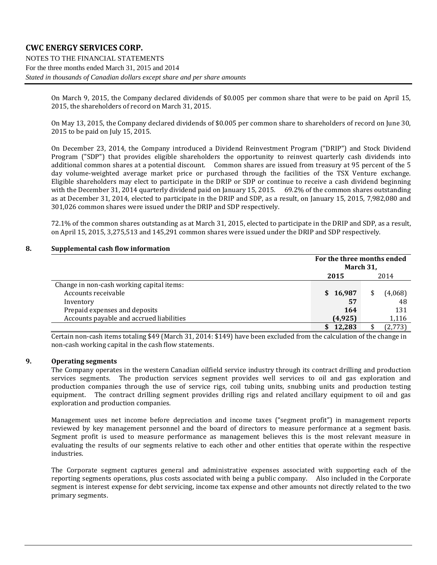NOTES TO THE FINANCIAL STATEMENTS For the three months ended March 31, 2015 and 2014 *Stated in thousands of Canadian dollars except share and per share amounts*

> On March 9, 2015, the Company declared dividends of \$0.005 per common share that were to be paid on April 15, 2015, the shareholders of record on March 31, 2015.

> On May 13, 2015, the Company declared dividends of \$0.005 per common share to shareholders of record on June 30, 2015 to be paid on July 15, 2015.

> On December 23, 2014, the Company introduced a Dividend Reinvestment Program ("DRIP") and Stock Dividend Program ("SDP") that provides eligible shareholders the opportunity to reinvest quarterly cash dividends into additional common shares at a potential discount. Common shares are issued from treasury at 95 percent of the 5 day volume-weighted average market price or purchased through the facilities of the TSX Venture exchange. Eligible shareholders may elect to participate in the DRIP or SDP or continue to receive a cash dividend beginning with the December 31, 2014 quarterly dividend paid on January 15, 2015. 69.2% of the common shares outstanding as at December 31, 2014, elected to participate in the DRIP and SDP, as a result, on January 15, 2015, 7,982,080 and 301,026 common shares were issued under the DRIP and SDP respectively.

> 72.1% of the common shares outstanding as at March 31, 2015, elected to participate in the DRIP and SDP, as a result, on April 15, 2015, 3,275,513 and 145,291 common shares were issued under the DRIP and SDP respectively.

#### <span id="page-9-0"></span>**8. Supplemental cash flow information**

|                                           | For the three months ended |         |  |  |
|-------------------------------------------|----------------------------|---------|--|--|
|                                           | March 31,                  |         |  |  |
|                                           | 2015                       | 2014    |  |  |
| Change in non-cash working capital items: |                            |         |  |  |
| Accounts receivable                       | \$16,987                   | (4,068) |  |  |
| Inventory                                 | 57                         | 48      |  |  |
| Prepaid expenses and deposits             | 164                        | 131     |  |  |
| Accounts payable and accrued liabilities  | (4, 925)                   | 1,116   |  |  |
|                                           | 12.283                     | (2,773) |  |  |

Certain non-cash items totaling \$49 (March 31, 2014: \$149) have been excluded from the calculation of the change in non-cash working capital in the cash flow statements.

#### **9. Operating segments**

The Company operates in the western Canadian oilfield service industry through its contract drilling and production services segments. The production services segment provides well services to oil and gas exploration and production companies through the use of service rigs, coil tubing units, snubbing units and production testing equipment. The contract drilling segment provides drilling rigs and related ancillary equipment to oil and gas exploration and production companies.

Management uses net income before depreciation and income taxes ("segment profit") in management reports reviewed by key management personnel and the board of directors to measure performance at a segment basis. Segment profit is used to measure performance as management believes this is the most relevant measure in evaluating the results of our segments relative to each other and other entities that operate within the respective industries.

The Corporate segment captures general and administrative expenses associated with supporting each of the reporting segments operations, plus costs associated with being a public company. Also included in the Corporate segment is interest expense for debt servicing, income tax expense and other amounts not directly related to the two primary segments.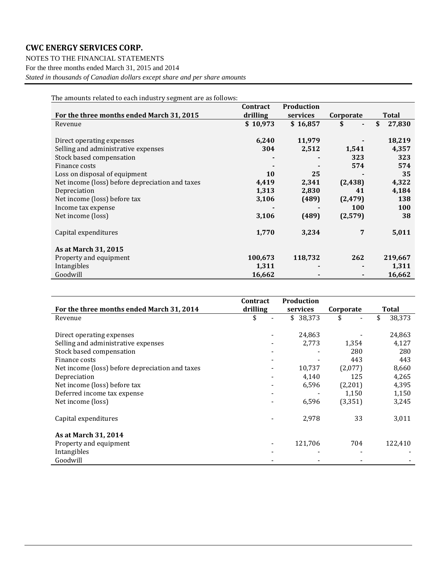NOTES TO THE FINANCIAL STATEMENTS For the three months ended March 31, 2015 and 2014 *Stated in thousands of Canadian dollars except share and per share amounts*

| The amounts related to each industry segment are as follows: |                 |            |                      |              |
|--------------------------------------------------------------|-----------------|------------|----------------------|--------------|
|                                                              | <b>Contract</b> | Production |                      |              |
| For the three months ended March 31, 2015                    | drilling        | services   | Corporate            | Total        |
| Revenue                                                      | \$10,973        | \$16,857   | \$<br>$\blacksquare$ | \$<br>27,830 |
|                                                              |                 |            |                      |              |
| Direct operating expenses                                    | 6,240           | 11,979     |                      | 18,219       |
| Selling and administrative expenses                          | 304             | 2,512      | 1,541                | 4,357        |
| Stock based compensation                                     |                 |            | 323                  | 323          |
| Finance costs                                                |                 |            | 574                  | 574          |
| Loss on disposal of equipment                                | 10              | 25         |                      | 35           |
| Net income (loss) before depreciation and taxes              | 4,419           | 2,341      | (2, 438)             | 4,322        |
| Depreciation                                                 | 1,313           | 2,830      | 41                   | 4,184        |
| Net income (loss) before tax                                 | 3,106           | (489)      | (2, 479)             | 138          |
| Income tax expense                                           |                 |            | 100                  | <b>100</b>   |
| Net income (loss)                                            | 3,106           | (489)      | (2,579)              | 38           |
| Capital expenditures                                         | 1,770           | 3,234      | 7                    | 5,011        |
| As at March 31, 2015                                         |                 |            |                      |              |
| Property and equipment                                       | 100,673         | 118,732    | 262                  | 219,667      |
| Intangibles                                                  | 1,311           |            |                      | 1,311        |
| Goodwill                                                     | 16,662          |            |                      | 16,662       |

|                                                 | <b>Contract</b> | <b>Production</b> |           |              |
|-------------------------------------------------|-----------------|-------------------|-----------|--------------|
| For the three months ended March 31, 2014       | drilling        | services          | Corporate | Total        |
| Revenue                                         | \$              | \$38,373          | \$        | \$<br>38,373 |
|                                                 |                 |                   |           |              |
| Direct operating expenses                       |                 | 24,863            |           | 24,863       |
| Selling and administrative expenses             |                 | 2,773             | 1,354     | 4,127        |
| Stock based compensation                        |                 |                   | 280       | 280          |
| Finance costs                                   |                 |                   | 443       | 443          |
| Net income (loss) before depreciation and taxes |                 | 10,737            | (2,077)   | 8,660        |
| Depreciation                                    |                 | 4,140             | 125       | 4,265        |
| Net income (loss) before tax                    |                 | 6,596             | (2,201)   | 4,395        |
| Deferred income tax expense                     |                 |                   | 1,150     | 1,150        |
| Net income (loss)                               |                 | 6,596             | (3, 351)  | 3,245        |
| Capital expenditures                            |                 | 2,978             | 33        | 3,011        |
| As at March 31, 2014                            |                 |                   |           |              |
| Property and equipment                          |                 | 121,706           | 704       | 122,410      |
| Intangibles                                     |                 |                   |           |              |
| Goodwill                                        |                 |                   |           |              |